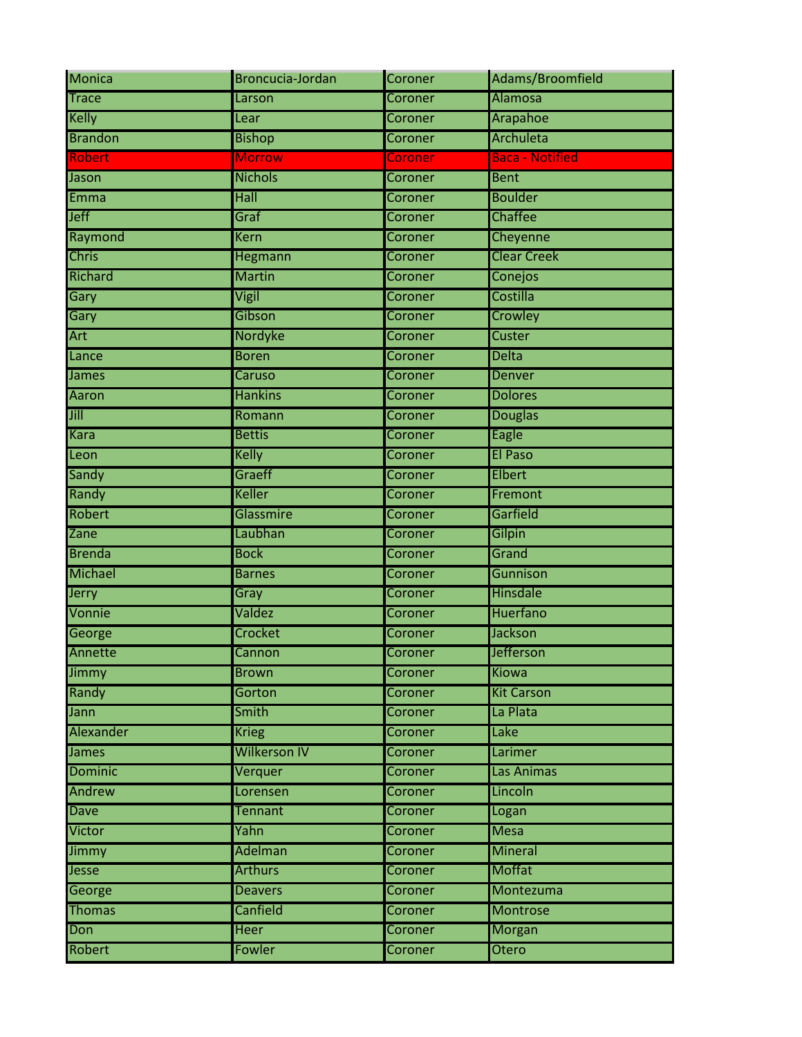| <b>Monica</b>  | Broncucia-Jordan    | Coroner        | Adams/Broomfield       |
|----------------|---------------------|----------------|------------------------|
| <b>Trace</b>   | Larson              | Coroner        | Alamosa                |
| <b>Kelly</b>   | Lear                | Coroner        | Arapahoe               |
| <b>Brandon</b> | <b>Bishop</b>       | Coroner        | Archuleta              |
| <b>Robert</b>  | <b>Morrow</b>       | Coroner        | <b>Baca - Notified</b> |
| Jason          | <b>Nichols</b>      | Coroner        | <b>Bent</b>            |
| <b>Emma</b>    | Hall                | Coroner        | <b>Boulder</b>         |
| <b>Jeff</b>    | Graf                | Coroner        | Chaffee                |
| Raymond        | <b>Kern</b>         | Coroner        | Cheyenne               |
| <b>Chris</b>   | Hegmann             | Coroner        | <b>Clear Creek</b>     |
| Richard        | <b>Martin</b>       | Coroner        | Conejos                |
| Gary           | Vigil               | Coroner        | Costilla               |
| Gary           | Gibson              | Coroner        | Crowley                |
| Art            | <b>Nordyke</b>      | Coroner        | Custer                 |
| Lance          | <b>Boren</b>        | Coroner        | <b>Delta</b>           |
| James          | Caruso              | Coroner        | <b>Denver</b>          |
| <b>Aaron</b>   | <b>Hankins</b>      | Coroner        | <b>Dolores</b>         |
| Jill           | Romann              | Coroner        | <b>Douglas</b>         |
| <b>Kara</b>    | <b>Bettis</b>       | Coroner        | Eagle                  |
| Leon           | Kelly               | Coroner        | <b>El Paso</b>         |
| Sandy          | Graeff              | Coroner        | Elbert                 |
| Randy          | <b>Keller</b>       | Coroner        | Fremont                |
| Robert         | Glassmire           | Coroner        | Garfield               |
| Zane           | Laubhan             | Coroner        | Gilpin                 |
| <b>Brenda</b>  | <b>Bock</b>         | Coroner        | Grand                  |
| Michael        | <b>Barnes</b>       | Coroner        | Gunnison               |
| <b>Jerry</b>   | Gray                | Coroner        | Hinsdale               |
| Vonnie         | Valdez              | <b>Coroner</b> | <b>Huerfano</b>        |
| George         | Crocket             | Coroner        | Jackson                |
| Annette        | Cannon              | Coroner        | <b>Jefferson</b>       |
| Jimmy          | <b>Brown</b>        | Coroner        | Kiowa                  |
| Randy          | Gorton              | <b>Coroner</b> | <b>Kit Carson</b>      |
| Jann           | Smith               | Coroner        | La Plata               |
| Alexander      | <b>Krieg</b>        | <b>Coroner</b> | Lake                   |
| James          | <b>Wilkerson IV</b> | Coroner        | Larimer                |
| <b>Dominic</b> | Verquer             | <b>Coroner</b> | Las Animas             |
| Andrew         | Lorensen            | Coroner        | Lincoln                |
| Dave           | <b>Tennant</b>      | Coroner        | Logan                  |
| Victor         | Yahn                | Coroner        | <b>Mesa</b>            |
| Jimmy          | Adelman             | Coroner        | <b>Mineral</b>         |
| Jesse          | <b>Arthurs</b>      | Coroner        | Moffat                 |
| George         | <b>Deavers</b>      | Coroner        | Montezuma              |
| <b>Thomas</b>  | Canfield            | Coroner        | <b>Montrose</b>        |
| Don            | <b>Heer</b>         | Coroner        | <b>Morgan</b>          |
| Robert         | Fowler              | <b>Coroner</b> | Otero                  |